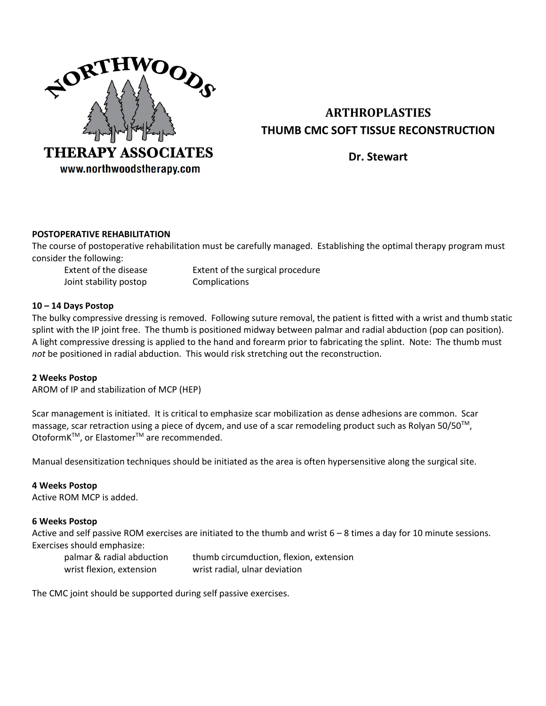

# **ARTHROPLASTIES THUMB CMC SOFT TISSUE RECONSTRUCTION**

**Dr. Stewart**

# **POSTOPERATIVE REHABILITATION**

The course of postoperative rehabilitation must be carefully managed. Establishing the optimal therapy program must consider the following:

Joint stability postop Complications

Extent of the disease Extent of the surgical procedure

### **10 – 14 Days Postop**

The bulky compressive dressing is removed. Following suture removal, the patient is fitted with a wrist and thumb static splint with the IP joint free. The thumb is positioned midway between palmar and radial abduction (pop can position). A light compressive dressing is applied to the hand and forearm prior to fabricating the splint. Note: The thumb must *not* be positioned in radial abduction. This would risk stretching out the reconstruction.

# **2 Weeks Postop**

AROM of IP and stabilization of MCP (HEP)

Scar management is initiated. It is critical to emphasize scar mobilization as dense adhesions are common. Scar massage, scar retraction using a piece of dycem, and use of a scar remodeling product such as Rolyan 50/50<sup>TM</sup>, OtoformK<sup>™</sup>, or Elastomer<sup>™</sup> are recommended.

Manual desensitization techniques should be initiated as the area is often hypersensitive along the surgical site.

### **4 Weeks Postop**

Active ROM MCP is added.

### **6 Weeks Postop**

Active and self passive ROM exercises are initiated to the thumb and wrist  $6 - 8$  times a day for 10 minute sessions. Exercises should emphasize:

| palmar & radial abduction | thumb circumduction, flexion, extension |
|---------------------------|-----------------------------------------|
| wrist flexion, extension  | wrist radial, ulnar deviation           |

The CMC joint should be supported during self passive exercises.